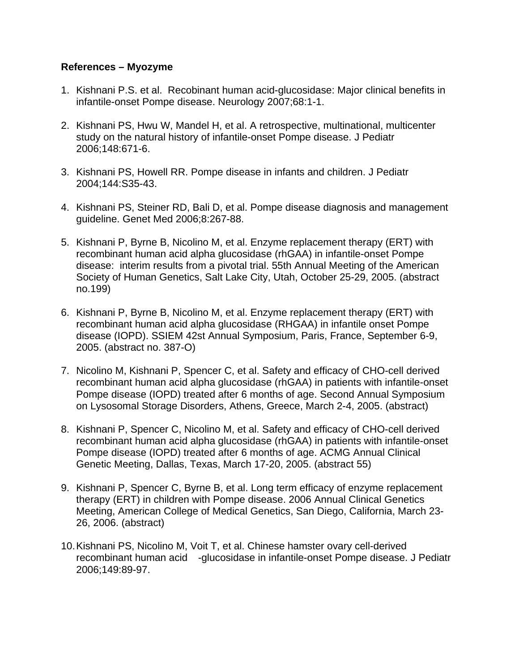## **References – Myozyme**

- 1. Kishnani P.S. et al. Recobinant human acid-glucosidase: Major clinical benefits in infantile-onset Pompe disease. Neurology 2007;68:1-1.
- 2. Kishnani PS, Hwu W, Mandel H, et al. A retrospective, multinational, multicenter study on the natural history of infantile-onset Pompe disease. J Pediatr 2006;148:671-6.
- 3. Kishnani PS, Howell RR. Pompe disease in infants and children. J Pediatr 2004;144:S35-43.
- 4. Kishnani PS, Steiner RD, Bali D, et al. Pompe disease diagnosis and management guideline. Genet Med 2006;8:267-88.
- 5. Kishnani P, Byrne B, Nicolino M, et al. Enzyme replacement therapy (ERT) with recombinant human acid alpha glucosidase (rhGAA) in infantile-onset Pompe disease: interim results from a pivotal trial. 55th Annual Meeting of the American Society of Human Genetics, Salt Lake City, Utah, October 25-29, 2005. (abstract no.199)
- 6. Kishnani P, Byrne B, Nicolino M, et al. Enzyme replacement therapy (ERT) with recombinant human acid alpha glucosidase (RHGAA) in infantile onset Pompe disease (IOPD). SSIEM 42st Annual Symposium, Paris, France, September 6-9, 2005. (abstract no. 387-O)
- 7. Nicolino M, Kishnani P, Spencer C, et al. Safety and efficacy of CHO-cell derived recombinant human acid alpha glucosidase (rhGAA) in patients with infantile-onset Pompe disease (IOPD) treated after 6 months of age. Second Annual Symposium on Lysosomal Storage Disorders, Athens, Greece, March 2-4, 2005. (abstract)
- 8. Kishnani P, Spencer C, Nicolino M, et al. Safety and efficacy of CHO-cell derived recombinant human acid alpha glucosidase (rhGAA) in patients with infantile-onset Pompe disease (IOPD) treated after 6 months of age. ACMG Annual Clinical Genetic Meeting, Dallas, Texas, March 17-20, 2005. (abstract 55)
- 9. Kishnani P, Spencer C, Byrne B, et al. Long term efficacy of enzyme replacement therapy (ERT) in children with Pompe disease. 2006 Annual Clinical Genetics Meeting, American College of Medical Genetics, San Diego, California, March 23- 26, 2006. (abstract)
- 10. Kishnani PS, Nicolino M, Voit T, et al. Chinese hamster ovary cell-derived recombinant human acid -glucosidase in infantile-onset Pompe disease. J Pediatr 2006;149:89-97.